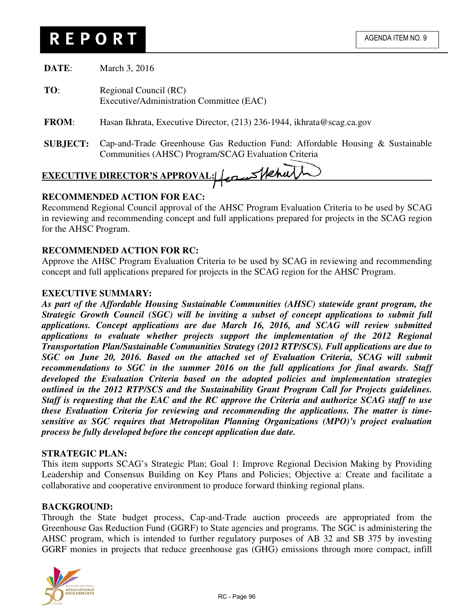# **REPORT**

| DATE:        | March 3, 2016                                                          |
|--------------|------------------------------------------------------------------------|
| TO:          | Regional Council (RC)<br>Executive/Administration Committee (EAC)      |
| <b>FROM:</b> | Hasan Ikhrata, Executive Director, (213) 236-1944, ikhrata@scag.ca.gov |

**SUBJECT:** Cap-and-Trade Greenhouse Gas Reduction Fund: Affordable Housing & Sustainable Communities (AHSC) Program/SCAG Evaluation Criteria

# EXECUTIVE DIRECTOR'S APPROVAL: **Cam Mehu**

# **RECOMMENDED ACTION FOR EAC:**

Recommend Regional Council approval of the AHSC Program Evaluation Criteria to be used by SCAG in reviewing and recommending concept and full applications prepared for projects in the SCAG region for the AHSC Program.

# **RECOMMENDED ACTION FOR RC:**

Approve the AHSC Program Evaluation Criteria to be used by SCAG in reviewing and recommending concept and full applications prepared for projects in the SCAG region for the AHSC Program.

### **EXECUTIVE SUMMARY:**

*As part of the Affordable Housing Sustainable Communities (AHSC) statewide grant program, the Strategic Growth Council (SGC) will be inviting a subset of concept applications to submit full applications. Concept applications are due March 16, 2016, and SCAG will review submitted applications to evaluate whether projects support the implementation of the 2012 Regional Transportation Plan/Sustainable Communities Strategy (2012 RTP/SCS). Full applications are due to SGC on June 20, 2016. Based on the attached set of Evaluation Criteria, SCAG will submit recommendations to SGC in the summer 2016 on the full applications for final awards. Staff developed the Evaluation Criteria based on the adopted policies and implementation strategies outlined in the 2012 RTP/SCS and the Sustainability Grant Program Call for Projects guidelines. Staff is requesting that the EAC and the RC approve the Criteria and authorize SCAG staff to use these Evaluation Criteria for reviewing and recommending the applications. The matter is timesensitive as SGC requires that Metropolitan Planning Organizations (MPO)'s project evaluation process be fully developed before the concept application due date.* 

#### **STRATEGIC PLAN:**

This item supports SCAG's Strategic Plan; Goal 1: Improve Regional Decision Making by Providing Leadership and Consensus Building on Key Plans and Policies; Objective a: Create and facilitate a collaborative and cooperative environment to produce forward thinking regional plans.

# **BACKGROUND:**

Through the State budget process, Cap-and-Trade auction proceeds are appropriated from the Greenhouse Gas Reduction Fund (GGRF) to State agencies and programs. The SGC is administering the AHSC program, which is intended to further regulatory purposes of AB 32 and SB 375 by investing GGRF monies in projects that reduce greenhouse gas (GHG) emissions through more compact, infill

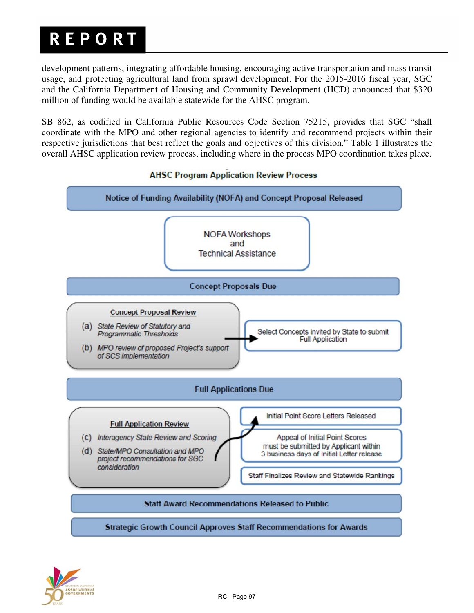# **REPORT**

development patterns, integrating affordable housing, encouraging active transportation and mass transit usage, and protecting agricultural land from sprawl development. For the 2015-2016 fiscal year, SGC and the California Department of Housing and Community Development (HCD) announced that \$320 million of funding would be available statewide for the AHSC program.

SB 862, as codified in California Public Resources Code Section 75215, provides that SGC "shall coordinate with the MPO and other regional agencies to identify and recommend projects within their respective jurisdictions that best reflect the goals and objectives of this division." Table 1 illustrates the overall AHSC application review process, including where in the process MPO coordination takes place.



# **AHSC Program Application Review Process**

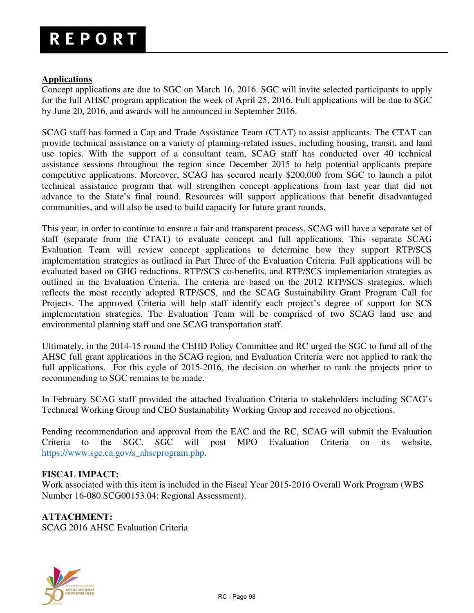### **Applications**

Concept applications are due to SGC on March 16, 2016. SGC will invite selected participants to apply for the full AHSC program application the week of April 25, 2016. Full applications will be due to SGC by June 20, 2016, and awards will be announced in September 2016.

SCAG staff has formed a Cap and Trade Assistance Team (CTAT) to assist applicants. The CTAT can provide technical assistance on a variety of planning-related issues, including housing, transit, and land use topics. With the support of a consultant team, SCAG staff has conducted over 40 technical assistance sessions throughout the region since December 2015 to help potential applicants prepare competitive applications. Moreover, SCAG has secured nearly \$200,000 from SGC to launch a pilot technical assistance program that will strengthen concept applications from last year that did not advance to the State's final round. Resources will support applications that benefit disadvantaged communities, and will also be used to build capacity for future grant rounds.

This year, in order to continue to ensure a fair and transparent process, SCAG will have a separate set of staff (separate from the CTAT) to evaluate concept and full applications. This separate SCAG Evaluation Team will review concept applications to determine how they support RTP/SCS implementation strategies as outlined in Part Three of the Evaluation Criteria. Full applications will be evaluated based on GHG reductions, RTP/SCS co-benefits, and RTP/SCS implementation strategies as outlined in the Evaluation Criteria. The criteria are based on the 2012 RTP/SCS strategies, which reflects the most recently adopted RTP/SCS, and the SCAG Sustainability Grant Program Call for Projects. The approved Criteria will help staff identify each project's degree of support for SCS implementation strategies. The Evaluation Team will be comprised of two SCAG land use and environmental planning staff and one SCAG transportation staff.

Ultimately, in the 2014-15 round the CEHD Policy Committee and RC urged the SGC to fund all of the AHSC full grant applications in the SCAG region, and Evaluation Criteria were not applied to rank the full applications. For this cycle of 2015-2016, the decision on whether to rank the projects prior to recommending to SGC remains to be made.

In February SCAG staff provided the attached Evaluation Criteria to stakeholders including SCAG's Technical Working Group and CEO Sustainability Working Group and received no objections.

Pending recommendation and approval from the EAC and the RC, SCAG will submit the Evaluation Criteria to the SGC. SGC will post MPO Evaluation Criteria on its website, https://www.sgc.ca.gov/s\_ahscprogram.php.

# **FISCAL IMPACT:**

Work associated with this item is included in the Fiscal Year 2015-2016 Overall Work Program (WBS Number 16-080.SCG00153.04: Regional Assessment).

# **ATTACHMENT:**

SCAG 2016 AHSC Evaluation Criteria

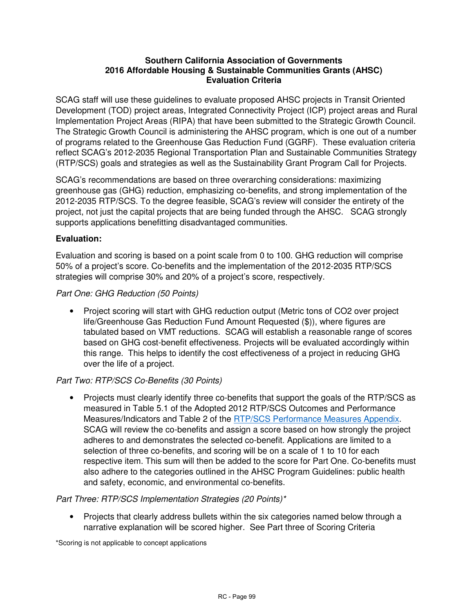#### **Southern California Association of Governments 2016 Affordable Housing & Sustainable Communities Grants (AHSC) Evaluation Criteria**

SCAG staff will use these guidelines to evaluate proposed AHSC projects in Transit Oriented Development (TOD) project areas, Integrated Connectivity Project (ICP) project areas and Rural Implementation Project Areas (RIPA) that have been submitted to the Strategic Growth Council. The Strategic Growth Council is administering the AHSC program, which is one out of a number of programs related to the Greenhouse Gas Reduction Fund (GGRF). These evaluation criteria reflect SCAG's 2012-2035 Regional Transportation Plan and Sustainable Communities Strategy (RTP/SCS) goals and strategies as well as the Sustainability Grant Program Call for Projects.

SCAG's recommendations are based on three overarching considerations: maximizing greenhouse gas (GHG) reduction, emphasizing co-benefits, and strong implementation of the 2012-2035 RTP/SCS. To the degree feasible, SCAG's review will consider the entirety of the project, not just the capital projects that are being funded through the AHSC. SCAG strongly supports applications benefitting disadvantaged communities.

### **Evaluation:**

Evaluation and scoring is based on a point scale from 0 to 100. GHG reduction will comprise 50% of a project's score. Co-benefits and the implementation of the 2012-2035 RTP/SCS strategies will comprise 30% and 20% of a project's score, respectively.

#### Part One: GHG Reduction (50 Points)

• Project scoring will start with GHG reduction output (Metric tons of CO2 over project life/Greenhouse Gas Reduction Fund Amount Requested (\$)), where figures are tabulated based on VMT reductions. SCAG will establish a reasonable range of scores based on GHG cost-benefit effectiveness. Projects will be evaluated accordingly within this range. This helps to identify the cost effectiveness of a project in reducing GHG over the life of a project.

# Part Two: RTP/SCS Co-Benefits (30 Points)

• Projects must clearly identify three co-benefits that support the goals of the RTP/SCS as measured in Table 5.1 of the Adopted 2012 RTP/SCS Outcomes and Performance Measures/Indicators and Table 2 of the RTP/SCS Performance Measures Appendix. SCAG will review the co-benefits and assign a score based on how strongly the project adheres to and demonstrates the selected co-benefit. Applications are limited to a selection of three co-benefits, and scoring will be on a scale of 1 to 10 for each respective item. This sum will then be added to the score for Part One. Co-benefits must also adhere to the categories outlined in the AHSC Program Guidelines: public health and safety, economic, and environmental co-benefits.

#### Part Three: RTP/SCS Implementation Strategies (20 Points)\*

• Projects that clearly address bullets within the six categories named below through a narrative explanation will be scored higher. See Part three of Scoring Criteria

\*Scoring is not applicable to concept applications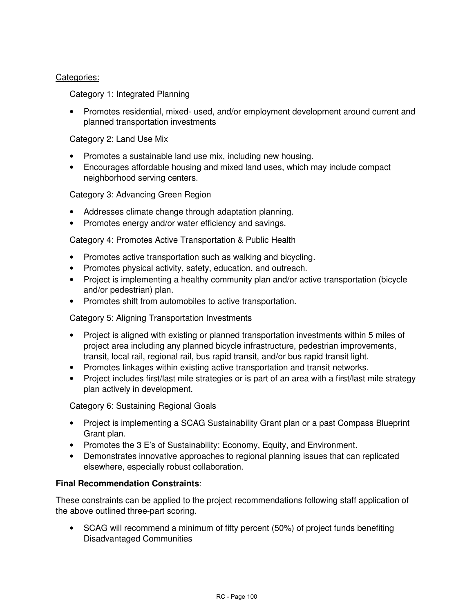#### Categories:

Category 1: Integrated Planning

• Promotes residential, mixed- used, and/or employment development around current and planned transportation investments

Category 2: Land Use Mix

- Promotes a sustainable land use mix, including new housing.
- Encourages affordable housing and mixed land uses, which may include compact neighborhood serving centers.

Category 3: Advancing Green Region

- Addresses climate change through adaptation planning.
- Promotes energy and/or water efficiency and savings.

Category 4: Promotes Active Transportation & Public Health

- Promotes active transportation such as walking and bicycling.
- Promotes physical activity, safety, education, and outreach.
- Project is implementing a healthy community plan and/or active transportation (bicycle and/or pedestrian) plan.
- Promotes shift from automobiles to active transportation.

Category 5: Aligning Transportation Investments

- Project is aligned with existing or planned transportation investments within 5 miles of project area including any planned bicycle infrastructure, pedestrian improvements, transit, local rail, regional rail, bus rapid transit, and/or bus rapid transit light.
- Promotes linkages within existing active transportation and transit networks.
- Project includes first/last mile strategies or is part of an area with a first/last mile strategy plan actively in development.

Category 6: Sustaining Regional Goals

- Project is implementing a SCAG Sustainability Grant plan or a past Compass Blueprint Grant plan.
- Promotes the 3 E's of Sustainability: Economy, Equity, and Environment.
- Demonstrates innovative approaches to regional planning issues that can replicated elsewhere, especially robust collaboration.

#### **Final Recommendation Constraints**:

These constraints can be applied to the project recommendations following staff application of the above outlined three-part scoring.

• SCAG will recommend a minimum of fifty percent (50%) of project funds benefiting Disadvantaged Communities